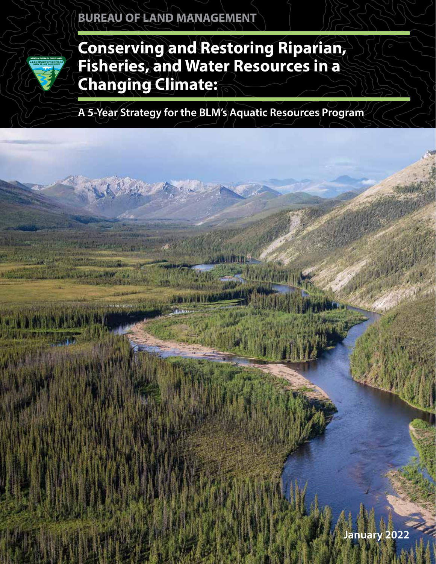

**Conserving and Restoring Riparian, Fisheries, and Water Resources in a Changing Climate:**

**A 5-Year Strategy for the BLM's Aquatic Resources Program**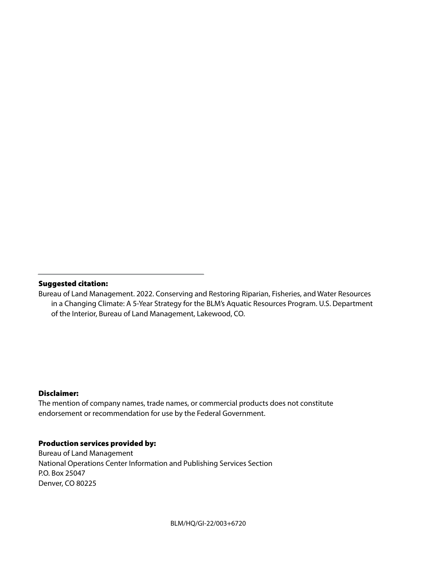#### Suggested citation:

Bureau of Land Management. 2022. Conserving and Restoring Riparian, Fisheries, and Water Resources in a Changing Climate: A 5-Year Strategy for the BLM's Aquatic Resources Program. U.S. Department of the Interior, Bureau of Land Management, Lakewood, CO.

#### Disclaimer:

The mention of company names, trade names, or commercial products does not constitute endorsement or recommendation for use by the Federal Government.

#### Production services provided by:

Bureau of Land Management National Operations Center Information and Publishing Services Section P.O. Box 25047 Denver, CO 80225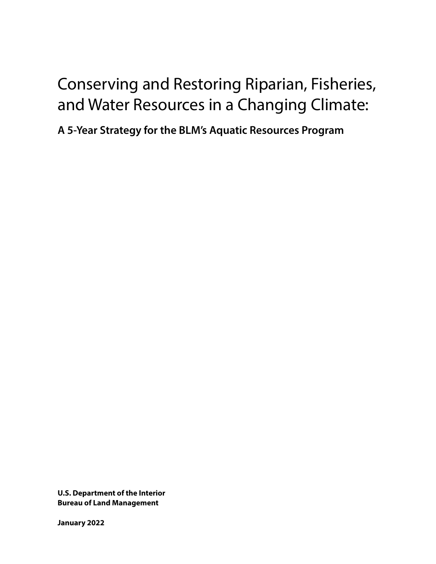# Conserving and Restoring Riparian, Fisheries, and Water Resources in a Changing Climate:

**A 5-Year Strategy for the BLM's Aquatic Resources Program** 

**U.S. Department of the Interior Bureau of Land Management**

**January 2022**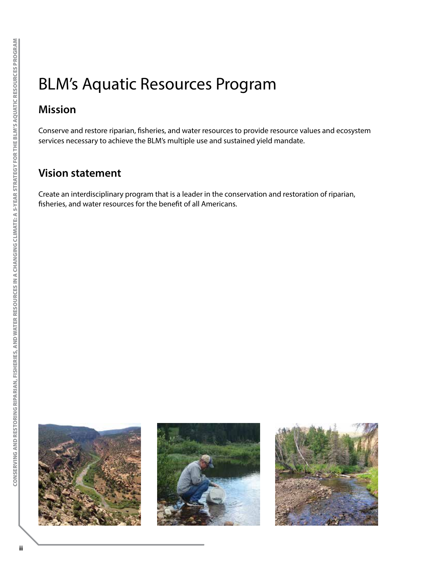# BLM's Aquatic Resources Program

# **Mission**

Conserve and restore riparian, fisheries, and water resources to provide resource values and ecosystem services necessary to achieve the BLM's multiple use and sustained yield mandate.

### **Vision statement**

Create an interdisciplinary program that is a leader in the conservation and restoration of riparian, fisheries, and water resources for the benefit of all Americans.





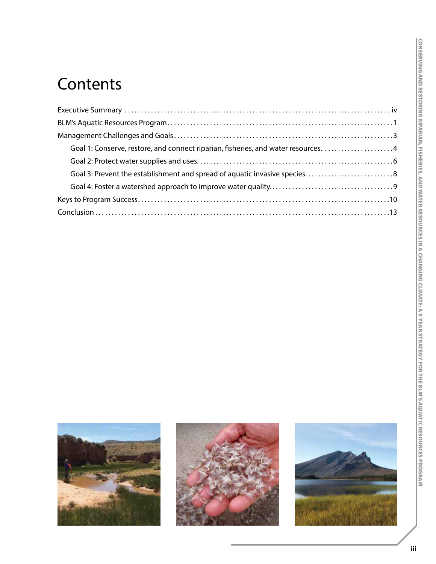# **Contents**

| Goal 1: Conserve, restore, and connect riparian, fisheries, and water resources. 4 |  |
|------------------------------------------------------------------------------------|--|
|                                                                                    |  |
|                                                                                    |  |
|                                                                                    |  |
|                                                                                    |  |
|                                                                                    |  |





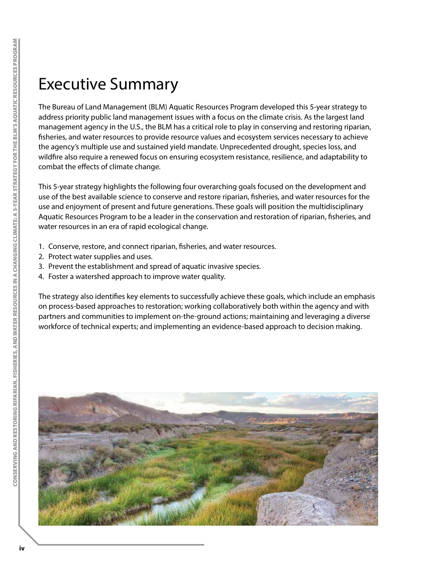# Executive Summary

The Bureau of Land Management (BLM) Aquatic Resources Program developed this 5-year strategy to address priority public land management issues with a focus on the climate crisis. As the largest land management agency in the U.S., the BLM has a critical role to play in conserving and restoring riparian, fisheries, and water resources to provide resource values and ecosystem services necessary to achieve the agency's multiple use and sustained yield mandate. Unprecedented drought, species loss, and wildfire also require a renewed focus on ensuring ecosystem resistance, resilience, and adaptability to combat the effects of climate change.

This 5-year strategy highlights the following four overarching goals focused on the development and use of the best available science to conserve and restore riparian, fisheries, and water resources for the use and enjoyment of present and future generations. These goals will position the multidisciplinary Aquatic Resources Program to be a leader in the conservation and restoration of riparian, fisheries, and water resources in an era of rapid ecological change.

- 1. Conserve, restore, and connect riparian, fisheries, and water resources.
- 2. Protect water supplies and uses.
- 3. Prevent the establishment and spread of aquatic invasive species.
- 4. Foster a watershed approach to improve water quality.

The strategy also identifies key elements to successfully achieve these goals, which include an emphasis on process-based approaches to restoration; working collaboratively both within the agency and with partners and communities to implement on-the-ground actions; maintaining and leveraging a diverse workforce of technical experts; and implementing an evidence-based approach to decision making.

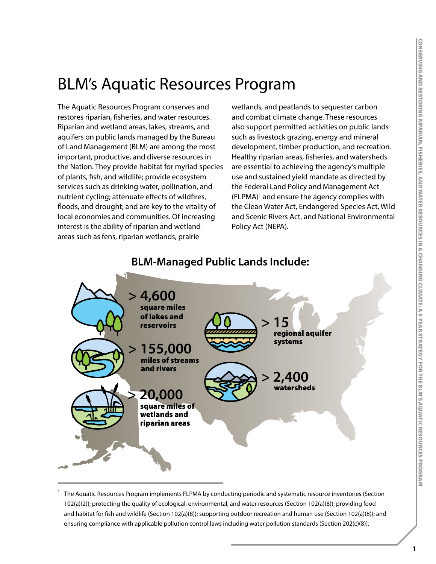# BLM's Aquatic Resources Program

The Aquatic Resources Program conserves and restores riparian, fisheries, and water resources. Riparian and wetland areas, lakes, streams, and aquifers on public lands managed by the Bureau of Land Management (BLM) are among the most important, productive, and diverse resources in the Nation. They provide habitat for myriad species of plants, fish, and wildlife; provide ecosystem services such as drinking water, pollination, and nutrient cycling; attenuate effects of wildfires, floods, and drought; and are key to the vitality of local economies and communities. Of increasing interest is the ability of riparian and wetland areas such as fens, riparian wetlands, prairie

wetlands, and peatlands to sequester carbon and combat climate change. These resources also support permitted activities on public lands such as livestock grazing, energy and mineral development, timber production, and recreation. Healthy riparian areas, fisheries, and watersheds are essential to achieving the agency's multiple use and sustained yield mandate as directed by the Federal Land Policy and Management Act (FLPMA)<sup>1</sup> and ensure the agency complies with the Clean Water Act, Endangered Species Act, Wild and Scenic Rivers Act, and National Environmental Policy Act (NEPA).



### **BLM-Managed Public Lands Include:**

<sup>1</sup> The Aquatic Resources Program implements FLPMA by conducting periodic and systematic resource inventories (Section 102(a)(2)); protecting the quality of ecological, environmental, and water resources (Section 102(a)(8)); providing food and habitat for fish and wildlife (Section 102(a)(8)); supporting outdoor recreation and human use (Section 102(a)(8)); and ensuring compliance with applicable pollution control laws including water pollution standards (Section 202(c)(8)).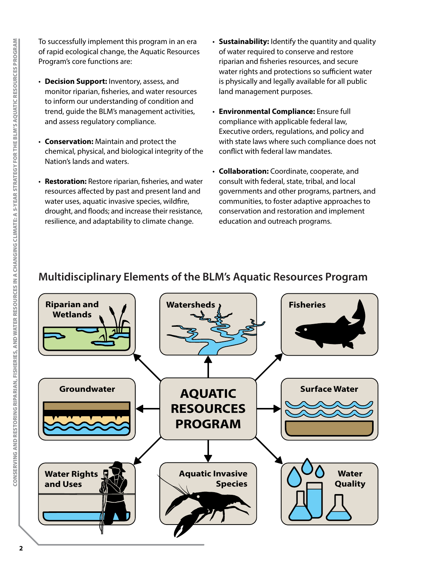To successfully implement this program in an era of rapid ecological change, the Aquatic Resources Program's core functions are:

- **Decision Support:** Inventory, assess, and monitor riparian, fisheries, and water resources to inform our understanding of condition and trend, guide the BLM's management activities, and assess regulatory compliance.
- **Conservation:** Maintain and protect the chemical, physical, and biological integrity of the Nation's lands and waters.
- **Restoration:** Restore riparian, fisheries, and water resources affected by past and present land and water uses, aquatic invasive species, wildfire, drought, and floods; and increase their resistance, resilience, and adaptability to climate change.
- **Sustainability:** Identify the quantity and quality of water required to conserve and restore riparian and fisheries resources, and secure water rights and protections so sufficient water is physically and legally available for all public land management purposes.
- **Environmental Compliance:** Ensure full compliance with applicable federal law, Executive orders, regulations, and policy and with state laws where such compliance does not conflict with federal law mandates.
- **Collaboration:** Coordinate, cooperate, and consult with federal, state, tribal, and local governments and other programs, partners, and communities, to foster adaptive approaches to conservation and restoration and implement education and outreach programs.

### **Multidisciplinary Elements of the BLM's Aquatic Resources Program**

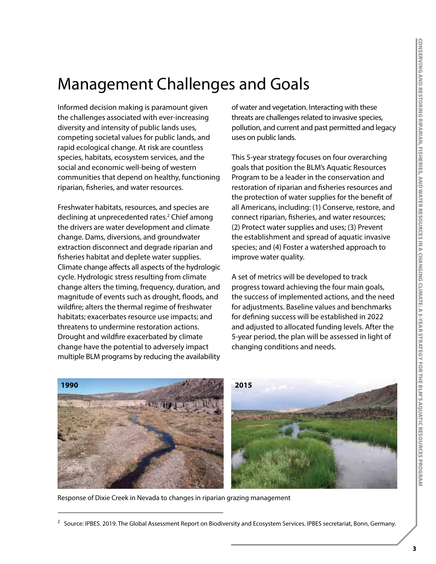# Management Challenges and Goals

Informed decision making is paramount given the challenges associated with ever-increasing diversity and intensity of public lands uses, competing societal values for public lands, and rapid ecological change. At risk are countless species, habitats, ecosystem services, and the social and economic well-being of western communities that depend on healthy, functioning riparian, fisheries, and water resources.

Freshwater habitats, resources, and species are declining at unprecedented rates.<sup>2</sup> Chief among the drivers are water development and climate change. Dams, diversions, and groundwater extraction disconnect and degrade riparian and fisheries habitat and deplete water supplies. Climate change affects all aspects of the hydrologic cycle. Hydrologic stress resulting from climate change alters the timing, frequency, duration, and magnitude of events such as drought, floods, and wildfire; alters the thermal regime of freshwater habitats; exacerbates resource use impacts; and threatens to undermine restoration actions. Drought and wildfire exacerbated by climate change have the potential to adversely impact multiple BLM programs by reducing the availability

of water and vegetation. Interacting with these threats are challenges related to invasive species, pollution, and current and past permitted and legacy uses on public lands.

This 5-year strategy focuses on four overarching goals that position the BLM's Aquatic Resources Program to be a leader in the conservation and restoration of riparian and fisheries resources and the protection of water supplies for the benefit of all Americans, including: (1) Conserve, restore, and connect riparian, fisheries, and water resources; (2) Protect water supplies and uses; (3) Prevent the establishment and spread of aquatic invasive species; and (4) Foster a watershed approach to improve water quality.

A set of metrics will be developed to track progress toward achieving the four main goals, the success of implemented actions, and the need for adjustments. Baseline values and benchmarks for defining success will be established in 2022 and adjusted to allocated funding levels. After the 5-year period, the plan will be assessed in light of changing conditions and needs.



Response of Dixie Creek in Nevada to changes in riparian grazing management

<sup>&</sup>lt;sup>2</sup> Source: IPBES. 2019. The Global Assessment Report on Biodiversity and Ecosystem Services. IPBES secretariat, Bonn, Germany.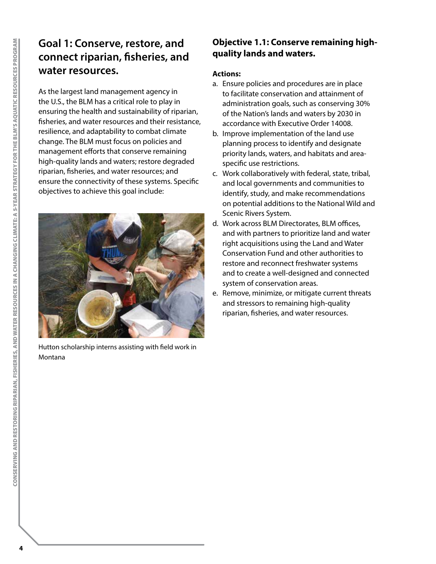## **Goal 1: Conserve, restore, and connect riparian, fisheries, and water resources.**

As the largest land management agency in the U.S., the BLM has a critical role to play in ensuring the health and sustainability of riparian, fisheries, and water resources and their resistance, resilience, and adaptability to combat climate change. The BLM must focus on policies and management efforts that conserve remaining high-quality lands and waters; restore degraded riparian, fisheries, and water resources; and ensure the connectivity of these systems. Specific objectives to achieve this goal include:

Hutton scholarship interns assisting with field work in Montana

### **Objective 1.1: Conserve remaining highquality lands and waters.**

- a. Ensure policies and procedures are in place to facilitate conservation and attainment of administration goals, such as conserving 30% of the Nation's lands and waters by 2030 in accordance with Executive Order 14008.
- b. Improve implementation of the land use planning process to identify and designate priority lands, waters, and habitats and areaspecific use restrictions.
- c. Work collaboratively with federal, state, tribal, and local governments and communities to identify, study, and make recommendations on potential additions to the National Wild and Scenic Rivers System.
- d. Work across BLM Directorates, BLM offices, and with partners to prioritize land and water right acquisitions using the Land and Water Conservation Fund and other authorities to restore and reconnect freshwater systems and to create a well-designed and connected system of conservation areas.
- e. Remove, minimize, or mitigate current threats and stressors to remaining high-quality riparian, fisheries, and water resources.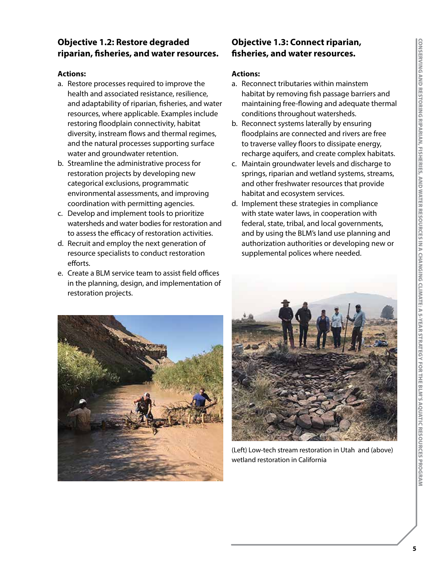#### **Objective 1.2: Restore degraded riparian, fisheries, and water resources.**

#### **Actions:**

- a. Restore processes required to improve the health and associated resistance, resilience, and adaptability of riparian, fisheries, and water resources, where applicable. Examples include restoring floodplain connectivity, habitat diversity, instream flows and thermal regimes, and the natural processes supporting surface water and groundwater retention.
- b. Streamline the administrative process for restoration projects by developing new categorical exclusions, programmatic environmental assessments, and improving coordination with permitting agencies.
- c. Develop and implement tools to prioritize watersheds and water bodies for restoration and to assess the efficacy of restoration activities.
- d. Recruit and employ the next generation of resource specialists to conduct restoration efforts.
- e. Create a BLM service team to assist field offices in the planning, design, and implementation of restoration projects.

#### **Objective 1.3: Connect riparian, fisheries, and water resources.**

- a. Reconnect tributaries within mainstem habitat by removing fish passage barriers and maintaining free-flowing and adequate thermal conditions throughout watersheds.
- b. Reconnect systems laterally by ensuring floodplains are connected and rivers are free to traverse valley floors to dissipate energy, recharge aquifers, and create complex habitats.
- c. Maintain groundwater levels and discharge to springs, riparian and wetland systems, streams, and other freshwater resources that provide habitat and ecosystem services.
- d. Implement these strategies in compliance with state water laws, in cooperation with federal, state, tribal, and local governments, and by using the BLM's land use planning and authorization authorities or developing new or supplemental polices where needed.





(Left) Low-tech stream restoration in Utah and (above) wetland restoration in California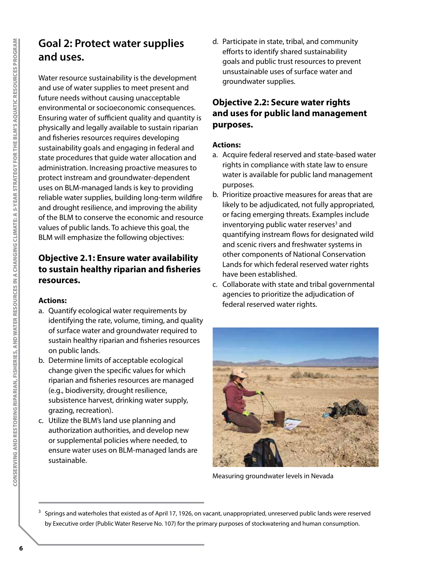## **Goal 2: Protect water supplies and uses.**

Water resource sustainability is the development and use of water supplies to meet present and future needs without causing unacceptable environmental or socioeconomic consequences. Ensuring water of sufficient quality and quantity is physically and legally available to sustain riparian and fisheries resources requires developing sustainability goals and engaging in federal and state procedures that guide water allocation and administration. Increasing proactive measures to protect instream and groundwater-dependent uses on BLM-managed lands is key to providing reliable water supplies, building long-term wildfire and drought resilience, and improving the ability of the BLM to conserve the economic and resource values of public lands. To achieve this goal, the BLM will emphasize the following objectives:

#### **Objective 2.1: Ensure water availability to sustain healthy riparian and fisheries resources.**

#### **Actions:**

- a. Quantify ecological water requirements by identifying the rate, volume, timing, and quality of surface water and groundwater required to sustain healthy riparian and fisheries resources on public lands.
- b. Determine limits of acceptable ecological change given the specific values for which riparian and fisheries resources are managed (e.g., biodiversity, drought resilience, subsistence harvest, drinking water supply, grazing, recreation).
- c. Utilize the BLM's land use planning and authorization authorities, and develop new or supplemental policies where needed, to ensure water uses on BLM-managed lands are sustainable.

d. Participate in state, tribal, and community efforts to identify shared sustainability goals and public trust resources to prevent unsustainable uses of surface water and groundwater supplies.

#### **Objective 2.2: Secure water rights and uses for public land management purposes.**

- a. Acquire federal reserved and state-based water rights in compliance with state law to ensure water is available for public land management purposes.
- b. Prioritize proactive measures for areas that are likely to be adjudicated, not fully appropriated, or facing emerging threats. Examples include inventorying public water reserves<sup>3</sup> and quantifying instream flows for designated wild and scenic rivers and freshwater systems in other components of National Conservation Lands for which federal reserved water rights have been established.
- c. Collaborate with state and tribal governmental agencies to prioritize the adjudication of federal reserved water rights.



Measuring groundwater levels in Nevada

<sup>&</sup>lt;sup>3</sup> Springs and waterholes that existed as of April 17, 1926, on vacant, unappropriated, unreserved public lands were reserved by Executive order (Public Water Reserve No. 107) for the primary purposes of stockwatering and human consumption.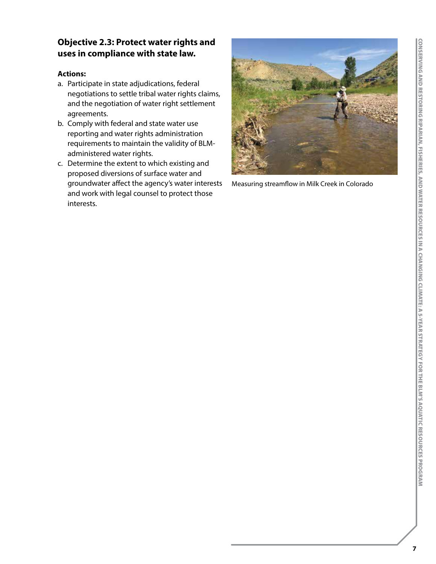### **Objective 2.3: Protect water rights and uses in compliance with state law.**

- a. Participate in state adjudications, federal negotiations to settle tribal water rights claims, and the negotiation of water right settlement agreements.
- b. Comply with federal and state water use reporting and water rights administration requirements to maintain the validity of BLMadministered water rights.
- c. Determine the extent to which existing and proposed diversions of surface water and groundwater affect the agency's water interests and work with legal counsel to protect those interests.



Measuring streamflow in Milk Creek in Colorado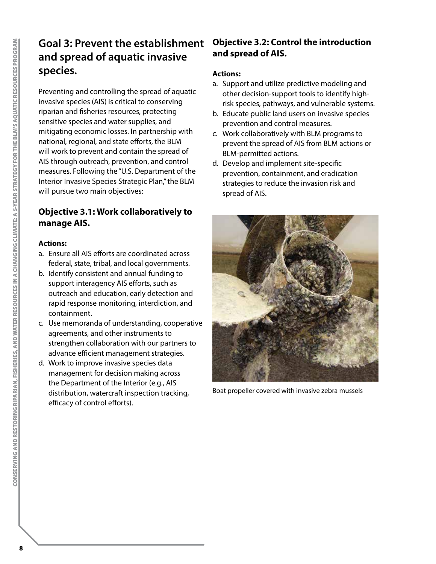# **Goal 3: Prevent the establishment and spread of aquatic invasive species.**

Preventing and controlling the spread of aquatic invasive species (AIS) is critical to conserving riparian and fisheries resources, protecting sensitive species and water supplies, and mitigating economic losses. In partnership with national, regional, and state efforts, the BLM will work to prevent and contain the spread of AIS through outreach, prevention, and control measures. Following the "U.S. Department of the Interior Invasive Species Strategic Plan," the BLM will pursue two main objectives:

#### **Objective 3.1: Work collaboratively to manage AIS.**

#### **Actions:**

- a. Ensure all AIS efforts are coordinated across federal, state, tribal, and local governments.
- b. Identify consistent and annual funding to support interagency AIS efforts, such as outreach and education, early detection and rapid response monitoring, interdiction, and containment.
- c. Use memoranda of understanding, cooperative agreements, and other instruments to strengthen collaboration with our partners to advance efficient management strategies.
- d. Work to improve invasive species data management for decision making across the Department of the Interior (e.g., AIS distribution, watercraft inspection tracking, efficacy of control efforts).

#### **Objective 3.2: Control the introduction and spread of AIS.**

- a. Support and utilize predictive modeling and other decision-support tools to identify highrisk species, pathways, and vulnerable systems.
- b. Educate public land users on invasive species prevention and control measures.
- c. Work collaboratively with BLM programs to prevent the spread of AIS from BLM actions or BLM-permitted actions.
- d. Develop and implement site-specific prevention, containment, and eradication strategies to reduce the invasion risk and spread of AIS.



Boat propeller covered with invasive zebra mussels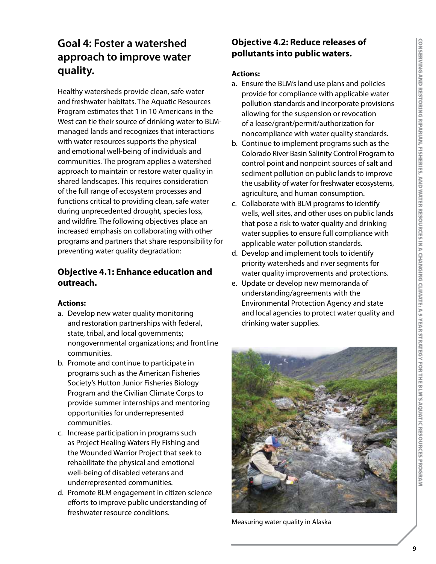## **Goal 4: Foster a watershed approach to improve water quality.**

Healthy watersheds provide clean, safe water and freshwater habitats. The Aquatic Resources Program estimates that 1 in 10 Americans in the West can tie their source of drinking water to BLMmanaged lands and recognizes that interactions with water resources supports the physical and emotional well-being of individuals and communities. The program applies a watershed approach to maintain or restore water quality in shared landscapes. This requires consideration of the full range of ecosystem processes and functions critical to providing clean, safe water during unprecedented drought, species loss, and wildfire. The following objectives place an increased emphasis on collaborating with other programs and partners that share responsibility for preventing water quality degradation:

#### **Objective 4.1: Enhance education and outreach.**

#### **Actions:**

- a. Develop new water quality monitoring and restoration partnerships with federal, state, tribal, and local governments; nongovernmental organizations; and frontline communities.
- b. Promote and continue to participate in programs such as the American Fisheries Society's Hutton Junior Fisheries Biology Program and the Civilian Climate Corps to provide summer internships and mentoring opportunities for underrepresented communities.
- c. Increase participation in programs such as Project Healing Waters Fly Fishing and the Wounded Warrior Project that seek to rehabilitate the physical and emotional well-being of disabled veterans and underrepresented communities.
- d. Promote BLM engagement in citizen science efforts to improve public understanding of freshwater resource conditions.

#### **Objective 4.2: Reduce releases of pollutants into public waters.**

- a. Ensure the BLM's land use plans and policies provide for compliance with applicable water pollution standards and incorporate provisions allowing for the suspension or revocation of a lease/grant/permit/authorization for noncompliance with water quality standards.
- b. Continue to implement programs such as the Colorado River Basin Salinity Control Program to control point and nonpoint sources of salt and sediment pollution on public lands to improve the usability of water for freshwater ecosystems, agriculture, and human consumption.
- c. Collaborate with BLM programs to identify wells, well sites, and other uses on public lands that pose a risk to water quality and drinking water supplies to ensure full compliance with applicable water pollution standards.
- d. Develop and implement tools to identify priority watersheds and river segments for water quality improvements and protections.
- e. Update or develop new memoranda of understanding/agreements with the Environmental Protection Agency and state and local agencies to protect water quality and drinking water supplies.



Measuring water quality in Alaska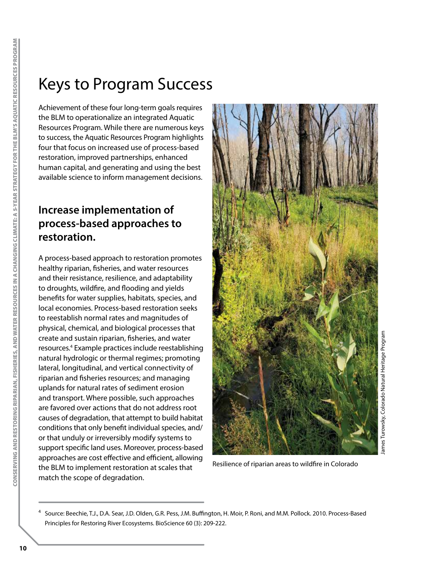# Keys to Program Success

Achievement of these four long-term goals requires the BLM to operationalize an integrated Aquatic Resources Program. While there are numerous keys to success, the Aquatic Resources Program highlights four that focus on increased use of process-based restoration, improved partnerships, enhanced human capital, and generating and using the best available science to inform management decisions.

### **Increase implementation of process-based approaches to restoration.**

A process-based approach to restoration promotes healthy riparian, fisheries, and water resources and their resistance, resilience, and adaptability to droughts, wildfire, and flooding and yields benefits for water supplies, habitats, species, and local economies. Process-based restoration seeks to reestablish normal rates and magnitudes of physical, chemical, and biological processes that create and sustain riparian, fisheries, and water resources.4 Example practices include reestablishing natural hydrologic or thermal regimes; promoting lateral, longitudinal, and vertical connectivity of riparian and fisheries resources; and managing uplands for natural rates of sediment erosion and transport. Where possible, such approaches are favored over actions that do not address root causes of degradation, that attempt to build habitat conditions that only benefit individual species, and/ or that unduly or irreversibly modify systems to support specific land uses. Moreover, process-based approaches are cost effective and efficient, allowing the BLM to implement restoration at scales that match the scope of degradation.



Resilience of riparian areas to wildfire in Colorado

<sup>4</sup> Source: Beechie, T.J., D.A. Sear, J.D. Olden, G.R. Pess, J.M. Buffington, H. Moir, P. Roni, and M.M. Pollock. 2010. Process-Based Principles for Restoring River Ecosystems. BioScience 60 (3): 209-222.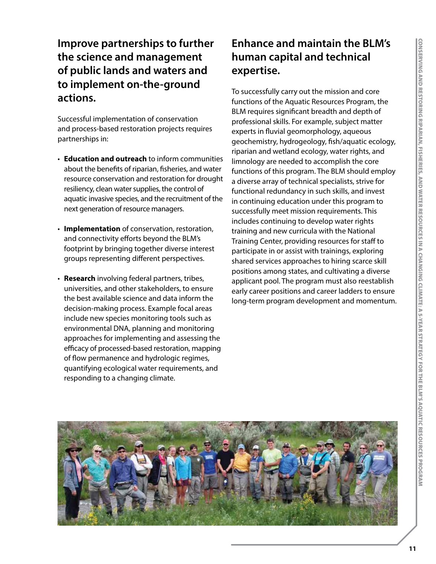### **Improve partnerships to further the science and management of public lands and waters and to implement on-the-ground actions.**

Successful implementation of conservation and process-based restoration projects requires partnerships in:

- **Education and outreach** to inform communities about the benefits of riparian, fisheries, and water resource conservation and restoration for drought resiliency, clean water supplies, the control of aquatic invasive species, and the recruitment of the next generation of resource managers.
- **Implementation** of conservation, restoration, and connectivity efforts beyond the BLM's footprint by bringing together diverse interest groups representing different perspectives.
- **Research** involving federal partners, tribes, universities, and other stakeholders, to ensure the best available science and data inform the decision-making process. Example focal areas include new species monitoring tools such as environmental DNA, planning and monitoring approaches for implementing and assessing the efficacy of processed-based restoration, mapping of flow permanence and hydrologic regimes, quantifying ecological water requirements, and responding to a changing climate.

# **Enhance and maintain the BLM's human capital and technical expertise.**

To successfully carry out the mission and core functions of the Aquatic Resources Program, the BLM requires significant breadth and depth of professional skills. For example, subject matter experts in fluvial geomorphology, aqueous geochemistry, hydrogeology, fish/aquatic ecology, riparian and wetland ecology, water rights, and limnology are needed to accomplish the core functions of this program. The BLM should employ a diverse array of technical specialists, strive for functional redundancy in such skills, and invest in continuing education under this program to successfully meet mission requirements. This includes continuing to develop water rights training and new curricula with the National Training Center, providing resources for staff to participate in or assist with trainings, exploring shared services approaches to hiring scarce skill positions among states, and cultivating a diverse applicant pool. The program must also reestablish early career positions and career ladders to ensure long-term program development and momentum.

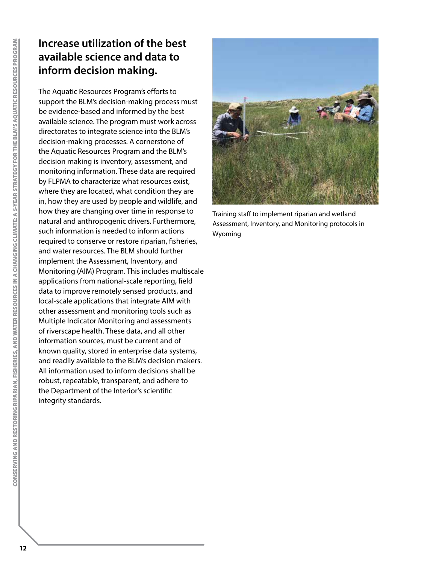# **Increase utilization of the best available science and data to inform decision making.**

The Aquatic Resources Program's efforts to support the BLM's decision-making process must be evidence-based and informed by the best available science. The program must work across directorates to integrate science into the BLM's decision-making processes. A cornerstone of the Aquatic Resources Program and the BLM's decision making is inventory, assessment, and monitoring information. These data are required by FLPMA to characterize what resources exist, where they are located, what condition they are in, how they are used by people and wildlife, and how they are changing over time in response to natural and anthropogenic drivers. Furthermore, such information is needed to inform actions required to conserve or restore riparian, fisheries, and water resources. The BLM should further implement the Assessment, Inventory, and Monitoring (AIM) Program. This includes multiscale applications from national-scale reporting, field data to improve remotely sensed products, and local-scale applications that integrate AIM with other assessment and monitoring tools such as Multiple Indicator Monitoring and assessments of riverscape health. These data, and all other information sources, must be current and of known quality, stored in enterprise data systems, and readily available to the BLM's decision makers. All information used to inform decisions shall be robust, repeatable, transparent, and adhere to the Department of the Interior's scientific integrity standards.



Training staff to implement riparian and wetland Assessment, Inventory, and Monitoring protocols in Wyoming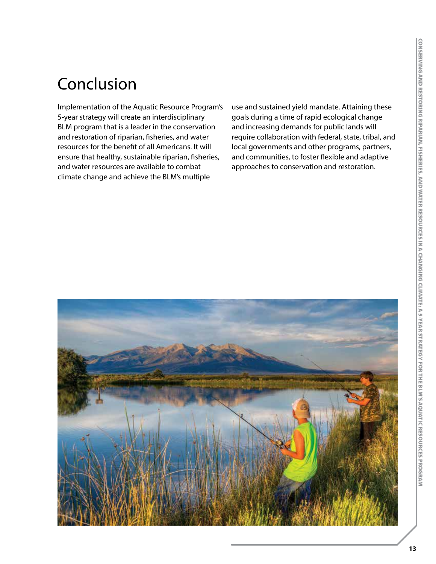# Conclusion

Implementation of the Aquatic Resource Program's 5-year strategy will create an interdisciplinary BLM program that is a leader in the conservation and restoration of riparian, fisheries, and water resources for the benefit of all Americans. It will ensure that healthy, sustainable riparian, fisheries, and water resources are available to combat climate change and achieve the BLM's multiple

use and sustained yield mandate. Attaining these goals during a time of rapid ecological change and increasing demands for public lands will require collaboration with federal, state, tribal, and local governments and other programs, partners, and communities, to foster flexible and adaptive approaches to conservation and restoration.